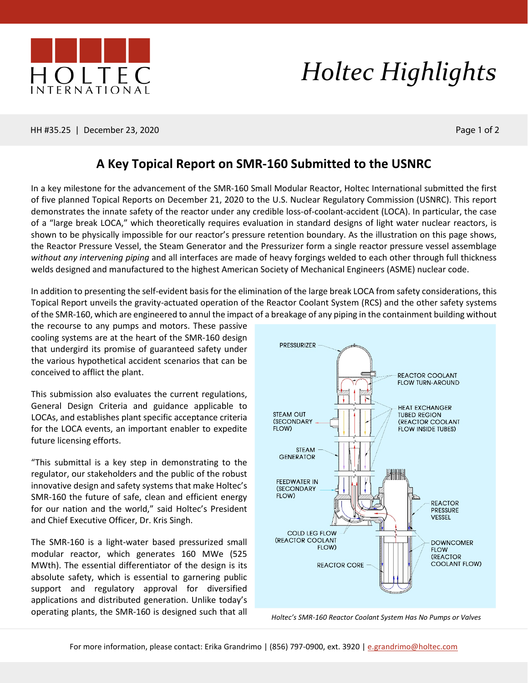

## *Holtec Highlights*

HH #35.25 | December 23, 2020 Page 1 of 2

## **A Key Topical Report on SMR-160 Submitted to the USNRC**

In a key milestone for the advancement of the SMR-160 Small Modular Reactor, Holtec International submitted the first of five planned Topical Reports on December 21, 2020 to the U.S. Nuclear Regulatory Commission (USNRC). This report demonstrates the innate safety of the reactor under any credible loss-of-coolant-accident (LOCA). In particular, the case of a "large break LOCA," which theoretically requires evaluation in standard designs of light water nuclear reactors, is shown to be physically impossible for our reactor's pressure retention boundary. As the illustration on this page shows, the Reactor Pressure Vessel, the Steam Generator and the Pressurizer form a single reactor pressure vessel assemblage *without any intervening piping* and all interfaces are made of heavy forgings welded to each other through full thickness welds designed and manufactured to the highest American Society of Mechanical Engineers (ASME) nuclear code.

In addition to presenting the self-evident basis for the elimination of the large break LOCA from safety considerations, this Topical Report unveils the gravity-actuated operation of the Reactor Coolant System (RCS) and the other safety systems of the SMR-160, which are engineered to annul the impact of a breakage of any piping in the containment building without

the recourse to any pumps and motors. These passive cooling systems are at the heart of the SMR-160 design that undergird its promise of guaranteed safety under the various hypothetical accident scenarios that can be conceived to afflict the plant.

This submission also evaluates the current regulations, General Design Criteria and guidance applicable to LOCAs, and establishes plant specific acceptance criteria for the LOCA events, an important enabler to expedite future licensing efforts.

"This submittal is a key step in demonstrating to the regulator, our stakeholders and the public of the robust innovative design and safety systems that make Holtec's SMR-160 the future of safe, clean and efficient energy for our nation and the world," said Holtec's President and Chief Executive Officer, Dr. Kris Singh.

The SMR-160 is a light-water based pressurized small modular reactor, which generates 160 MWe (525 MWth). The essential differentiator of the design is its absolute safety, which is essential to garnering public support and regulatory approval for diversified applications and distributed generation. Unlike today's operating plants, the SMR-160 is designed such that all *Holtec's SMR-160 Reactor Coolant System Has No Pumps or Valves*